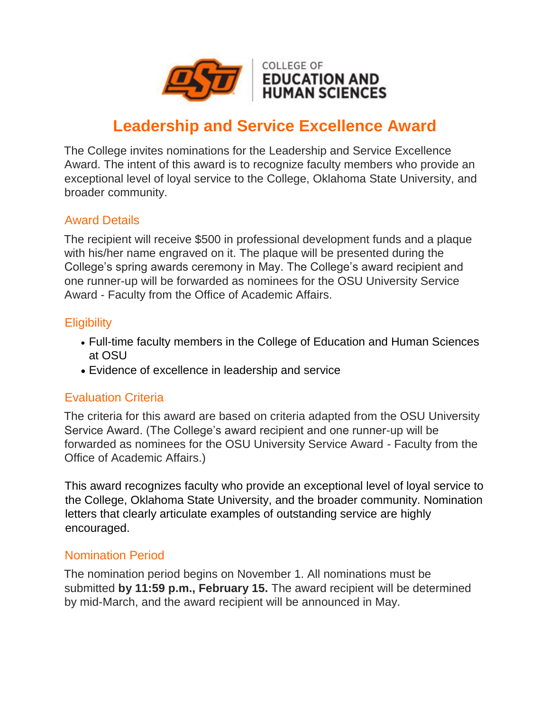

# **Leadership and Service Excellence Award**

The College invites nominations for the Leadership and Service Excellence Award. The intent of this award is to recognize faculty members who provide an exceptional level of loyal service to the College, Oklahoma State University, and broader community.

## Award Details

The recipient will receive \$500 in professional development funds and a plaque with his/her name engraved on it. The plaque will be presented during the College's spring awards ceremony in May. The College's award recipient and one runner-up will be forwarded as nominees for the OSU University Service Award - Faculty from the Office of Academic Affairs.

## **Eligibility**

- Full-time faculty members in the College of Education and Human Sciences at OSU
- Evidence of excellence in leadership and service

#### Evaluation Criteria

The criteria for this award are based on criteria adapted from the OSU University Service Award. (The College's award recipient and one runner-up will be forwarded as nominees for the OSU University Service Award - Faculty from the Office of Academic Affairs.)

This award recognizes faculty who provide an exceptional level of loyal service to the College, Oklahoma State University, and the broader community. Nomination letters that clearly articulate examples of outstanding service are highly encouraged.

#### Nomination Period

The nomination period begins on November 1. All nominations must be submitted **by 11:59 p.m., February 15.** The award recipient will be determined by mid-March, and the award recipient will be announced in May.